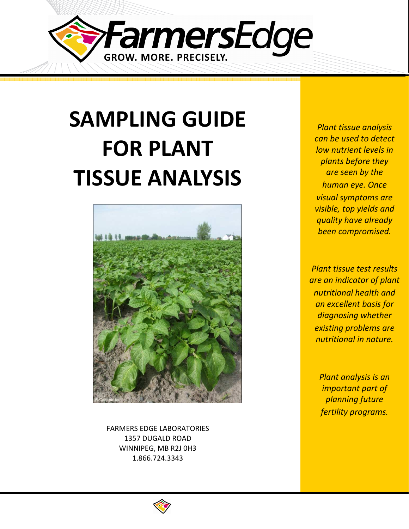

# **SAMPLING GUIDE FOR PLANT TISSUE ANALYSIS**



FARMERS EDGE LABORATORIES 1357 DUGALD ROAD WINNIPEG, MB R2J 0H3 1.866.724.3343

*Plant tissue analysis can be used to detect low nutrient levels in plants before they are seen by the human eye. Once visual symptoms are visible, top yields and quality have already been compromised.* 

*Plant tissue test results are an indicator of plant nutritional health and an excellent basis for diagnosing whether existing problems are nutritional in nature.* 

> *Plant analysis is an important part of planning future fertility programs.*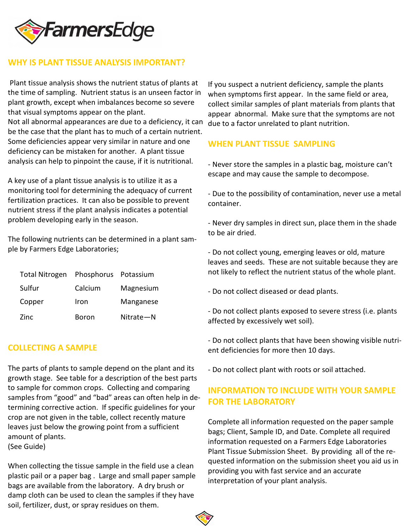

#### **WHY IS PLANT TISSUE ANALYSIS IMPORTANT?**

Plant tissue analysis shows the nutrient status of plants at the time of sampling. Nutrient status is an unseen factor in plant growth, except when imbalances become so severe that visual symptoms appear on the plant. Not all abnormal appearances are due to a deficiency, it can be the case that the plant has to much of a certain nutrient. Some deficiencies appear very similar in nature and one deficiency can be mistaken for another. A plant tissue

A key use of a plant tissue analysis is to utilize it as a monitoring tool for determining the adequacy of current fertilization practices. It can also be possible to prevent nutrient stress if the plant analysis indicates a potential problem developing early in the season.

analysis can help to pinpoint the cause, if it is nutritional.

The following nutrients can be determined in a plant sample by Farmers Edge Laboratories;

| <b>Total Nitrogen</b> | Phosphorus Potassium |           |
|-----------------------|----------------------|-----------|
| Sulfur                | Calcium              | Magnesium |
| Copper                | Iron                 | Manganese |
| Zinc                  | Boron                | Nitrate-N |

#### **COLLECTING A SAMPLE**

The parts of plants to sample depend on the plant and its growth stage. See table for a description of the best parts to sample for common crops. Collecting and comparing samples from "good" and "bad" areas can often help in determining corrective action. If specific guidelines for your crop are not given in the table, collect recently mature leaves just below the growing point from a sufficient amount of plants.

(See Guide)

When collecting the tissue sample in the field use a clean plastic pail or a paper bag . Large and small paper sample bags are available from the laboratory. A dry brush or damp cloth can be used to clean the samples if they have soil, fertilizer, dust, or spray residues on them.

If you suspect a nutrient deficiency, sample the plants when symptoms first appear. In the same field or area, collect similar samples of plant materials from plants that appear abnormal. Make sure that the symptoms are not due to a factor unrelated to plant nutrition.

#### **WHEN PLANT TISSUE SAMPLING**

- Never store the samples in a plastic bag, moisture can't escape and may cause the sample to decompose.

- Due to the possibility of contamination, never use a metal container.

- Never dry samples in direct sun, place them in the shade to be air dried.

- Do not collect young, emerging leaves or old, mature leaves and seeds. These are not suitable because they are not likely to reflect the nutrient status of the whole plant.

- Do not collect diseased or dead plants.
- Do not collect plants exposed to severe stress (i.e. plants affected by excessively wet soil).

- Do not collect plants that have been showing visible nutrient deficiencies for more then 10 days.

- Do not collect plant with roots or soil attached.

### **INFORMATION TO INCLUDE WITH YOUR SAMPLE FOR THE LABORATORY**

Complete all information requested on the paper sample bags; Client, Sample ID, and Date. Complete all required information requested on a Farmers Edge Laboratories Plant Tissue Submission Sheet. By providing all of the requested information on the submission sheet you aid us in providing you with fast service and an accurate interpretation of your plant analysis.

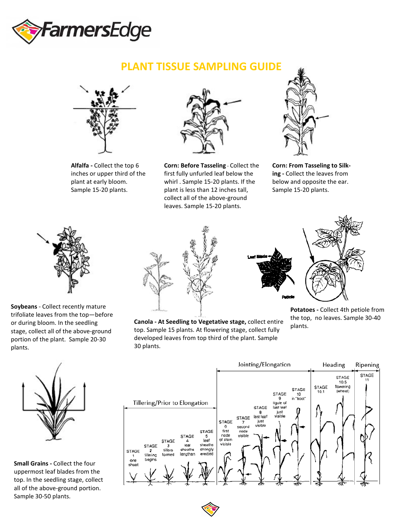

## **PLANT TISSUE SAMPLING GUIDE**



**Alfalfa -** Collect the top 6 inches or upper third of the plant at early bloom. Sample 15-20 plants.



**Corn: Before Tasseling** - Collect the first fully unfurled leaf below the whirl . Sample 15-20 plants. If the plant is less than 12 inches tall, collect all of the above-ground leaves. Sample 15-20 plants.



**Corn: From Tasseling to Silking -** Collect the leaves from below and opposite the ear. Sample 15-20 plants.



**Soybeans** - Collect recently mature trifoliate leaves from the top—before or during bloom. In the seedling stage, collect all of the above-ground portion of the plant. Sample 20-30 plants.



**Canola - At Seedling to Vegetative stage,** collect entire top. Sample 15 plants. At flowering stage, collect fully developed leaves from top third of the plant. Sample 30 plants.

**Potatoes -** Collect 4th petiole from the top, no leaves. Sample 30-40 plants.



**Small Grains -** Collect the four uppermost leaf blades from the top. In the seedling stage, collect all of the above-ground portion. Sample 30-50 plants.